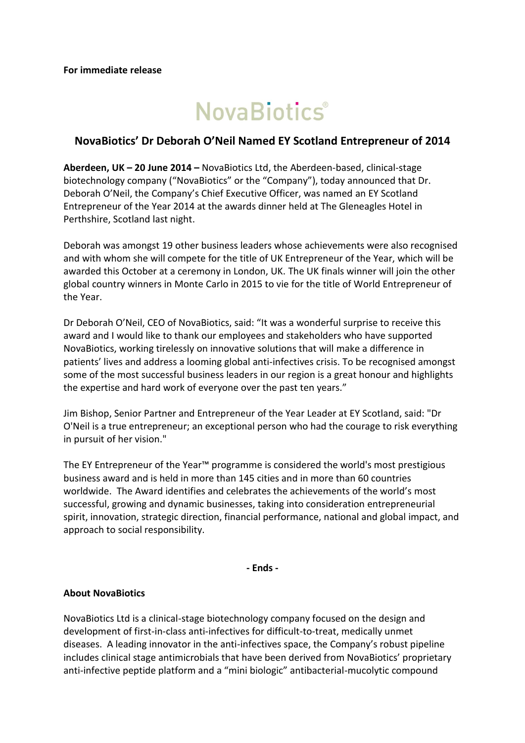# **NovaBiotics**®

# **NovaBiotics' Dr Deborah O'Neil Named EY Scotland Entrepreneur of 2014**

**Aberdeen, UK – 20 June 2014 –** NovaBiotics Ltd, the Aberdeen-based, clinical-stage biotechnology company ("NovaBiotics" or the "Company"), today announced that Dr. Deborah O'Neil, the Company's Chief Executive Officer, was named an EY Scotland Entrepreneur of the Year 2014 at the awards dinner held at The Gleneagles Hotel in Perthshire, Scotland last night.

Deborah was amongst 19 other business leaders whose achievements were also recognised and with whom she will compete for the title of UK Entrepreneur of the Year, which will be awarded this October at a ceremony in London, UK. The UK finals winner will join the other global country winners in Monte Carlo in 2015 to vie for the title of World Entrepreneur of the Year.

Dr Deborah O'Neil, CEO of NovaBiotics, said: "It was a wonderful surprise to receive this award and I would like to thank our employees and stakeholders who have supported NovaBiotics, working tirelessly on innovative solutions that will make a difference in patients' lives and address a looming global anti-infectives crisis. To be recognised amongst some of the most successful business leaders in our region is a great honour and highlights the expertise and hard work of everyone over the past ten years."

Jim Bishop, Senior Partner and Entrepreneur of the Year Leader at EY Scotland, said: "Dr O'Neil is a true entrepreneur; an exceptional person who had the courage to risk everything in pursuit of her vision."

The EY Entrepreneur of the Year™ programme is considered the world's most prestigious business award and is held in more than 145 cities and in more than 60 countries worldwide. The Award identifies and celebrates the achievements of the world's most successful, growing and dynamic businesses, taking into consideration entrepreneurial spirit, innovation, strategic direction, financial performance, national and global impact, and approach to social responsibility.

**- Ends -**

# **About NovaBiotics**

NovaBiotics Ltd is a clinical-stage biotechnology company focused on the design and development of first-in-class anti-infectives for difficult-to-treat, medically unmet diseases. A leading innovator in the anti-infectives space, the Company's robust pipeline includes clinical stage antimicrobials that have been derived from NovaBiotics' proprietary anti-infective peptide platform and a "mini biologic" antibacterial-mucolytic compound